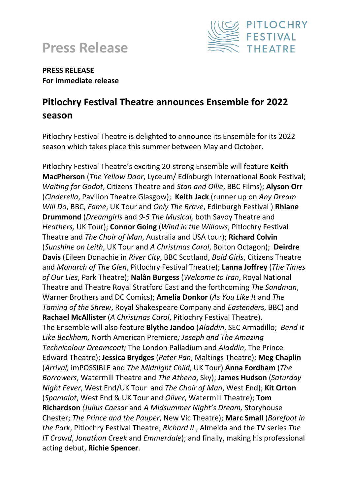



#### **PRESS RELEASE For immediate release**

# **Pitlochry Festival Theatre announces Ensemble for 2022 season**

Pitlochry Festival Theatre is delighted to announce its Ensemble for its 2022 season which takes place this summer between May and October.

Pitlochry Festival Theatre's exciting 20-strong Ensemble will feature **Keith MacPherson** (*The Yellow Door*, Lyceum/ Edinburgh International Book Festival; *Waiting for Godot*, Citizens Theatre and *Stan and Ollie*, BBC Films); **Alyson Orr** (*Cinderella*, Pavilion Theatre Glasgow); **Keith Jack** (runner up on *Any Dream Will Do*, BBC, *Fame*, UK Tour and *Only The Brave*, Edinburgh Festival ) **Rhiane Drummond** (*Dreamgirls* and *9-5 The Musical,* both Savoy Theatre and *Heathers,* UK Tour); **Connor Going** (*Wind in the Willows*, Pitlochry Festival Theatre and *The Choir of Man*, Australia and USA tour); **Richard Colvin** (*Sunshine on Leith*, UK Tour and *A Christmas Carol*, Bolton Octagon); **Deirdre Davis** (Eileen Donachie in *River City*, BBC Scotland, *Bold Girls*, Citizens Theatre and *Monarch of The Glen*, Pitlochry Festival Theatre); **Lanna Joffrey** (*The Times of Our Lies*, Park Theatre); **Nalân Burgess** (*Welcome to Iran*, Royal National Theatre and Theatre Royal Stratford East and the forthcoming *The Sandman*, Warner Brothers and DC Comics); **Amelia Donkor** (*As You Like It* and *The Taming of the Shrew*, Royal Shakespeare Company and *Eastender*s, BBC) and **Rachael McAllister** (*A Christmas Carol*, Pitlochry Festival Theatre). The Ensemble will also feature **Blythe Jandoo** (*Aladdin*, SEC Armadillo; *Bend It Like Beckham,* North American Premiere*; Joseph and The Amazing Technicolour Dreamcoat;* The London Palladium and *Aladdin*, The Prince Edward Theatre); **Jessica Brydges** (*Peter Pan*, Maltings Theatre); **Meg Chaplin** (*Arrival,* imPOSSIBLE and *The Midnight Child*, UK Tour) **Anna Fordham** (*The Borrowers*, Watermill Theatre and *The Athena*, Sky); **James Hudson** (*Saturday Night Fever*, West End/UK Tourand *The Choir of Man*, West End); **Kit Orton** (*Spamalot*, West End & UK Tour and *Oliver*, Watermill Theatre); **Tom Richardson** *(Julius Caesar* and *A Midsummer Night's Dream,* Storyhouse Chester; *The Prince and the Pauper*, New Vic Theatre); **Marc Small** (*Barefoot in the Park*, Pitlochry Festival Theatre; *Richard II* , Almeida and the TV series *The IT Crowd*, *Jonathan Creek* and *Emmerdale*); and finally, making his professional acting debut, **Richie Spencer**.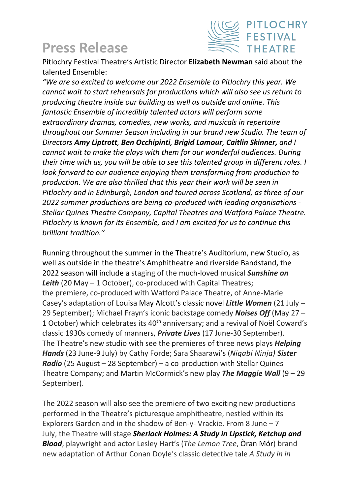# **Press Release**



Pitlochry Festival Theatre's Artistic Director **Elizabeth Newman** said about the talented Ensemble:

*"We are so excited to welcome our 2022 Ensemble to Pitlochry this year. We cannot wait to start rehearsals for productions which will also see us return to producing theatre inside our building as well as outside and online. This fantastic Ensemble of incredibly talented actors will perform some extraordinary dramas, comedies, new works, and musicals in repertoire throughout our Summer Season including in our brand new Studio. The team of Directors Amy Liptrott, Ben Occhipinti, Brigid Lamour, Caitlin Skinner, and I cannot wait to make the plays with them for our wonderful audiences. During their time with us, you will be able to see this talented group in different roles. I look forward to our audience enjoying them transforming from production to production. We are also thrilled that this year their work will be seen in Pitlochry and in Edinburgh, London and toured across Scotland, as three of our 2022 summer productions are being co-produced with leading organisations - Stellar Quines Theatre Company, Capital Theatres and Watford Palace Theatre. Pitlochry is known for its Ensemble, and I am excited for us to continue this brilliant tradition."*

Running throughout the summer in the Theatre's Auditorium, new Studio, as well as outside in the theatre's Amphitheatre and riverside Bandstand, the 2022 season will include a staging of the much-loved musical *Sunshine on Leith* (20 May – 1 October), co-produced with Capital Theatres; the premiere, co-produced with Watford Palace Theatre, of Anne-Marie Casey's adaptation of Louisa May Alcott's classic novel *Little Women* (21 July – 29 September); Michael Frayn's iconic backstage comedy *Noises Off* (May 27 – 1 October) which celebrates its 40<sup>th</sup> anniversary; and a revival of Noël Coward's classic 1930s comedy of manners, *Private Lives* (17 June-30 September). The Theatre's new studio with see the premieres of three news plays *Helping Hands* (23 June-9 July) by Cathy Forde; Sara Shaarawi's (*Niqabi Ninja) Sister Radio* (25 August – 28 September) – a co-production with Stellar Quines Theatre Company; and Martin McCormick's new play *The Maggie Wall* (9 – 29 September).

The 2022 season will also see the premiere of two exciting new productions performed in the Theatre's picturesque amphitheatre, nestled within its Explorers Garden and in the shadow of Ben-y- Vrackie. From 8 June – 7 July, the Theatre will stage *Sherlock Holmes: A Study in Lipstick, Ketchup and Blood*, playwright and actor Lesley Hart's (*The Lemon Tree*, Òran Mór) brand new adaptation of Arthur Conan Doyle's classic detective tale *A Study in in*